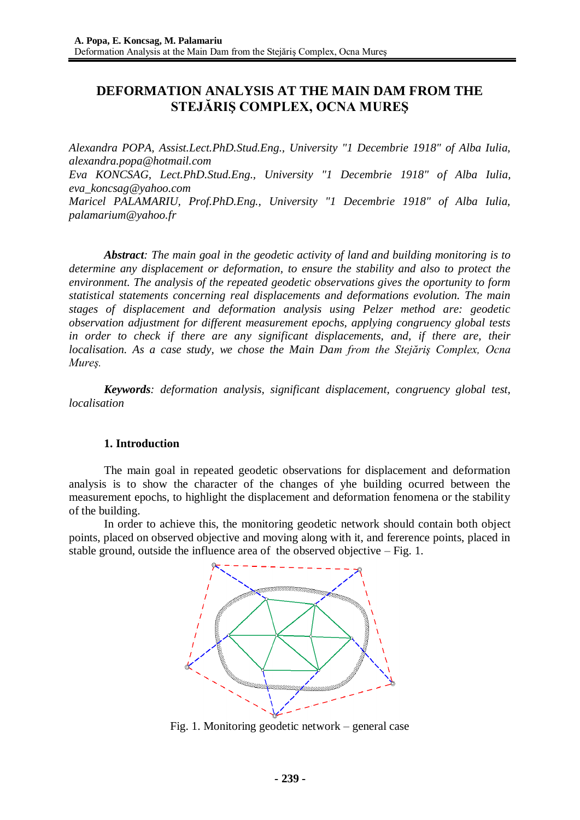# **DEFORMATION ANALYSIS AT THE MAIN DAM FROM THE STEJĂRIŞ COMPLEX, OCNA MUREŞ**

*Alexandra POPA, Assist.Lect.PhD.Stud.Eng., University "1 Decembrie 1918" of Alba Iulia, alexandra.popa@hotmail.com Eva KONCSAG, Lect.PhD.Stud.Eng., University "1 Decembrie 1918" of Alba Iulia, eva\_koncsag@yahoo.com*

*Maricel PALAMARIU, Prof.PhD.Eng., University "1 Decembrie 1918" of Alba Iulia, palamarium@yahoo.fr*

*Abstract: The main goal in the geodetic activity of land and building monitoring is to determine any displacement or deformation, to ensure the stability and also to protect the environment. The analysis of the repeated geodetic observations gives the oportunity to form statistical statements concerning real displacements and deformations evolution. The main stages of displacement and deformation analysis using Pelzer method are: geodetic observation adjustment for different measurement epochs, applying congruency global tests in order to check if there are any significant displacements, and, if there are, their localisation. As a case study, we chose the Main Dam from the Stejăriş Complex, Ocna Mureş.*

*Keywords: deformation analysis, significant displacement, congruency global test, localisation*

# **1. Introduction**

The main goal in repeated geodetic observations for displacement and deformation analysis is to show the character of the changes of yhe building ocurred between the measurement epochs, to highlight the displacement and deformation fenomena or the stability of the building.

In order to achieve this, the monitoring geodetic network should contain both object points, placed on observed objective and moving along with it, and fererence points, placed in stable ground, outside the influence area of the observed objective – Fig. 1.



Fig. 1. Monitoring geodetic network – general case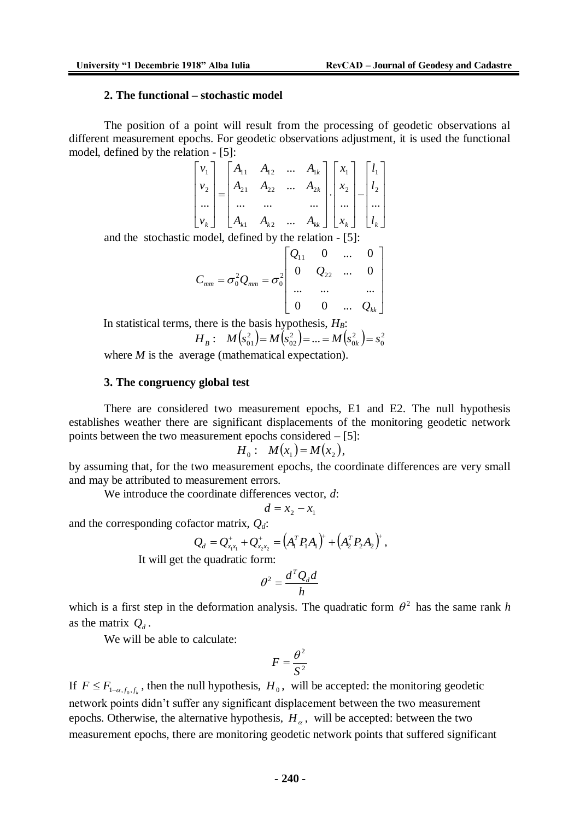0

### **2. The functional – stochastic model**

The position of a point will result from the processing of geodetic observations al different measurement epochs. For geodetic observations adjustment, it is used the functional model, defined by the relation - [5]:

$$
\begin{bmatrix} v_1 \\ v_2 \\ \dots \\ v_k \end{bmatrix} = \begin{bmatrix} A_{11} & A_{12} & \dots & A_{1k} \\ A_{21} & A_{22} & \dots & A_{2k} \\ \dots & \dots & \dots & \dots \\ A_{k1} & A_{k2} & \dots & A_{kk} \end{bmatrix} \cdot \begin{bmatrix} x_1 \\ x_2 \\ \dots \\ x_k \end{bmatrix} - \begin{bmatrix} l_1 \\ l_2 \\ \dots \\ l_k \end{bmatrix}
$$

and the stochastic model, defined by the relation - [5]:

$$
C_{mm} = \sigma_0^2 Q_{mm} = \sigma_0^2 \begin{bmatrix} Q_{11} & 0 & \dots & 0 \\ 0 & Q_{22} & \dots & 0 \\ \dots & \dots & \dots & \dots \\ 0 & 0 & \dots & Q_{kk} \end{bmatrix}
$$

In statistical terms, there is the basis hypothesis, *HB*:  $(s_{01}^2) = M(s_{02}^2) = ... = M(s_{0k}^2) = s_0^2$ 2  $\mathbf{0}$  $H_B: M(s_{01}^2) = M(s_{02}^2) = ... = M(s_{0k}^2) = s$ 

where *M* is the average (mathematical expectation).

#### **3. The congruency global test**

There are considered two measurement epochs, E1 and E2. The null hypothesis establishes weather there are significant displacements of the monitoring geodetic network points between the two measurement epochs considered – [5]:

$$
H_0: M(x_1)=M(x_2),
$$

by assuming that, for the two measurement epochs, the coordinate differences are very small and may be attributed to measurement errors.

We introduce the coordinate differences vector, *d*:

$$
d = x_2 - x_1
$$

and the corresponding cofactor matrix, *Qd*:

$$
Q_d = Q_{x_1x_1}^+ + Q_{x_2x_2}^+ = (A_1^T P_1 A_1)^+ + (A_2^T P_2 A_2)^+ ,
$$

It will get the quadratic form:

$$
\theta^2 = \frac{d^T Q_d d}{h}
$$

which is a first step in the deformation analysis. The quadratic form  $\theta^2$  has the same rank *h* as the matrix  $Q_d$ .

We will be able to calculate:

$$
F = \frac{\theta^2}{S^2}
$$

If  $F \leq F_{1-\alpha,f_0,f_k}$ , then the null hypothesis,  $H_0$ , will be accepted: the monitoring geodetic network points didn't suffer any significant displacement between the two measurement epochs. Otherwise, the alternative hypothesis,  $H_{\alpha}$ , will be accepted: between the two measurement epochs, there are monitoring geodetic network points that suffered significant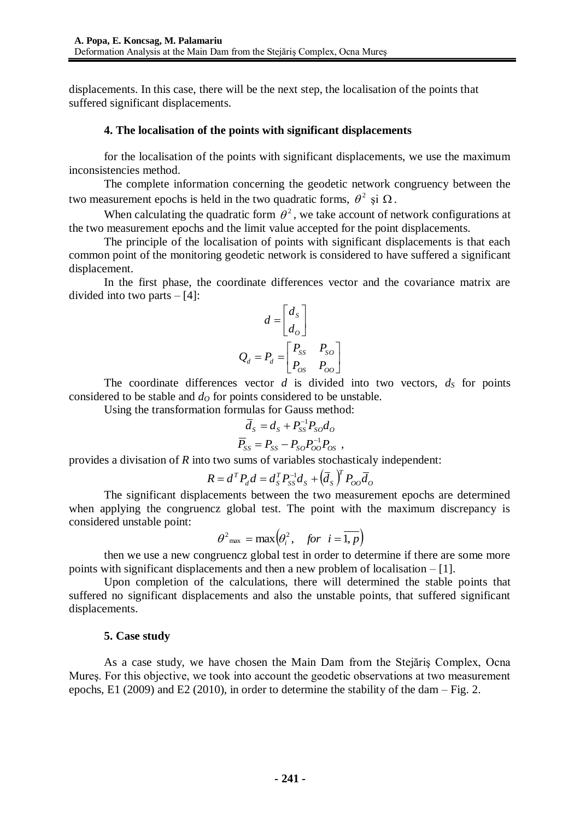displacements. In this case, there will be the next step, the localisation of the points that suffered significant displacements.

### **4. The localisation of the points with significant displacements**

for the localisation of the points with significant displacements, we use the maximum inconsistencies method.

The complete information concerning the geodetic network congruency between the two measurement epochs is held in the two quadratic forms,  $\theta^2$  și  $\Omega$ .

When calculating the quadratic form  $\theta^2$ , we take account of network configurations at the two measurement epochs and the limit value accepted for the point displacements.

The principle of the localisation of points with significant displacements is that each common point of the monitoring geodetic network is considered to have suffered a significant displacement.

In the first phase, the coordinate differences vector and the covariance matrix are divided into two parts  $-[4]$ :

$$
d = \begin{bmatrix} d_s \\ d_o \end{bmatrix}
$$
  

$$
Q_d = P_d = \begin{bmatrix} P_{ss} & P_{so} \\ P_{os} & P_{oo} \end{bmatrix}
$$

The coordinate differences vector  $d$  is divided into two vectors,  $d<sub>S</sub>$  for points considered to be stable and  $d<sub>O</sub>$  for points considered to be unstable.

Using the transformation formulas for Gauss method:

$$
\overline{d}_s = d_s + P_{ss}^{-1} P_{so} d_o
$$
  

$$
\overline{P}_{ss} = P_{ss} - P_{so} P_{oo}^{-1} P_{os} ,
$$

provides a divisation of *R* into two sums of variables stochasticaly independent:

$$
R = d^T P_d d = d_S^T P_{SS}^{-1} d_S + (\overline{d}_S)^T P_{OO} \overline{d}_O
$$

The significant displacements between the two measurement epochs are determined when applying the congruencz global test. The point with the maximum discrepancy is considered unstable point:

$$
\theta^2_{\text{max}} = \max\left(\theta_i^2, \quad \text{for } i = \overline{1, p}\right)
$$

then we use a new congruencz global test in order to determine if there are some more points with significant displacements and then a new problem of localisation – [1].

Upon completion of the calculations, there will determined the stable points that suffered no significant displacements and also the unstable points, that suffered significant displacements.

#### **5. Case study**

As a case study, we have chosen the Main Dam from the Stejăriş Complex, Ocna Mureş. For this objective, we took into account the geodetic observations at two measurement epochs, E1 (2009) and E2 (2010), in order to determine the stability of the dam – Fig. 2.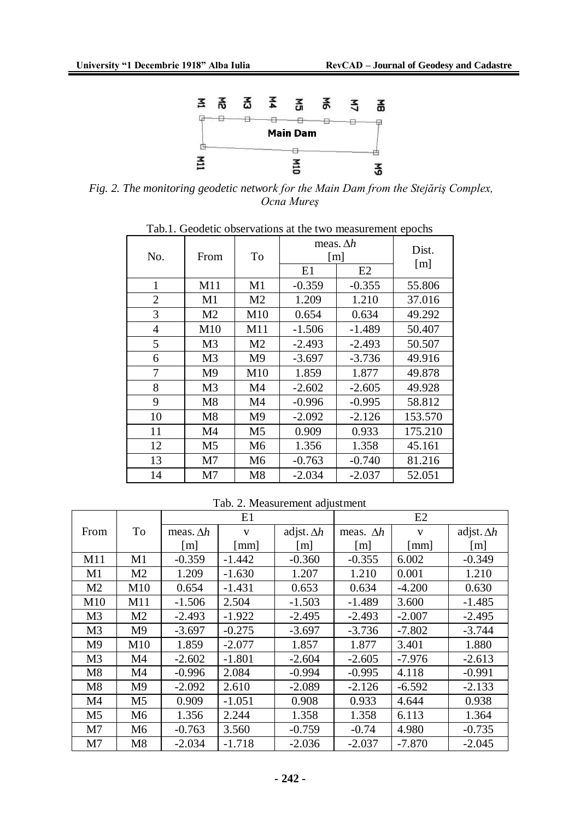

*Fig. 2. The monitoring geodetic network for the Main Dam from the Stejăriş Complex, Ocna Mureş* 

| No.            | From           | To             | meas. $\Delta h$<br>$\lceil m \rceil$ | Dist.    |                   |
|----------------|----------------|----------------|---------------------------------------|----------|-------------------|
|                |                |                |                                       |          | $\lceil m \rceil$ |
|                |                |                | E1                                    | E2       |                   |
| 1              | M11            | M1             | $-0.359$                              | $-0.355$ | 55.806            |
| $\overline{2}$ | M1             | M <sub>2</sub> | 1.209                                 | 1.210    | 37.016            |
| 3              | M <sub>2</sub> | M10            | 0.654                                 | 0.634    | 49.292            |
| $\overline{4}$ | M10            | M11            | $-1.506$                              | $-1.489$ | 50.407            |
| 5              | M <sub>3</sub> | M <sub>2</sub> | $-2.493$                              | $-2.493$ | 50.507            |
| 6              | M <sub>3</sub> | M <sub>9</sub> | $-3.697$                              | $-3.736$ | 49.916            |
| 7              | M <sub>9</sub> | M10            | 1.859                                 | 1.877    | 49.878            |
| 8              | M <sub>3</sub> | M <sub>4</sub> | $-2.602$                              | $-2.605$ | 49.928            |
| 9              | M8             | M4             | $-0.996$                              | $-0.995$ | 58.812            |
| 10             | M8             | M <sub>9</sub> | $-2.092$                              | $-2.126$ | 153.570           |
| 11             | M4             | M <sub>5</sub> | 0.909                                 | 0.933    | 175.210           |
| 12             | M <sub>5</sub> | M <sub>6</sub> | 1.356                                 | 1.358    | 45.161            |
| 13             | M <sub>7</sub> | M <sub>6</sub> | $-0.763$                              | $-0.740$ | 81.216            |
| 14             | M <sub>7</sub> | M8             | $-2.034$                              | $-2.037$ | 52.051            |

Tab.1. Geodetic observations at the two measurement epochs

Tab. 2. Measurement adjustment

|                |                |                   | E1                   |                   |                   | E2                   |                   |
|----------------|----------------|-------------------|----------------------|-------------------|-------------------|----------------------|-------------------|
| From           | To             | meas. $\Delta h$  | V                    | adjst. $\Delta h$ | meas. $\Delta h$  | $\mathbf{V}$         | adjst. $\Delta h$ |
|                |                | $\lceil m \rceil$ | $\lceil$ mm $\rceil$ | $\lceil m \rceil$ | $\lceil m \rceil$ | $\lceil$ mm $\rceil$ | $\lceil m \rceil$ |
| M11            | M1             | $-0.359$          | $-1.442$             | $-0.360$          | $-0.355$          | 6.002                | $-0.349$          |
| M1             | M <sub>2</sub> | 1.209             | $-1.630$             | 1.207             | 1.210             | 0.001                | 1.210             |
| M <sub>2</sub> | M10            | 0.654             | $-1.431$             | 0.653             | 0.634             | $-4.200$             | 0.630             |
| M10            | M11            | $-1.506$          | 2.504                | $-1.503$          | $-1.489$          | 3.600                | $-1.485$          |
| M <sub>3</sub> | M <sub>2</sub> | $-2.493$          | $-1.922$             | $-2.495$          | $-2.493$          | $-2.007$             | $-2.495$          |
| M <sub>3</sub> | M <sub>9</sub> | $-3.697$          | $-0.275$             | $-3.697$          | $-3.736$          | $-7.802$             | $-3.744$          |
| M <sub>9</sub> | M10            | 1.859             | $-2.077$             | 1.857             | 1.877             | 3.401                | 1.880             |
| M <sub>3</sub> | M4             | $-2.602$          | $-1.801$             | $-2.604$          | $-2.605$          | $-7.976$             | $-2.613$          |
| M8             | M4             | $-0.996$          | 2.084                | $-0.994$          | $-0.995$          | 4.118                | $-0.991$          |
| M8             | M <sub>9</sub> | $-2.092$          | 2.610                | $-2.089$          | $-2.126$          | $-6.592$             | $-2.133$          |
| M4             | M <sub>5</sub> | 0.909             | $-1.051$             | 0.908             | 0.933             | 4.644                | 0.938             |
| M <sub>5</sub> | M <sub>6</sub> | 1.356             | 2.244                | 1.358             | 1.358             | 6.113                | 1.364             |
| M <sub>7</sub> | M <sub>6</sub> | $-0.763$          | 3.560                | $-0.759$          | $-0.74$           | 4.980                | $-0.735$          |
| M7             | M8             | $-2.034$          | $-1.718$             | $-2.036$          | $-2.037$          | $-7.870$             | $-2.045$          |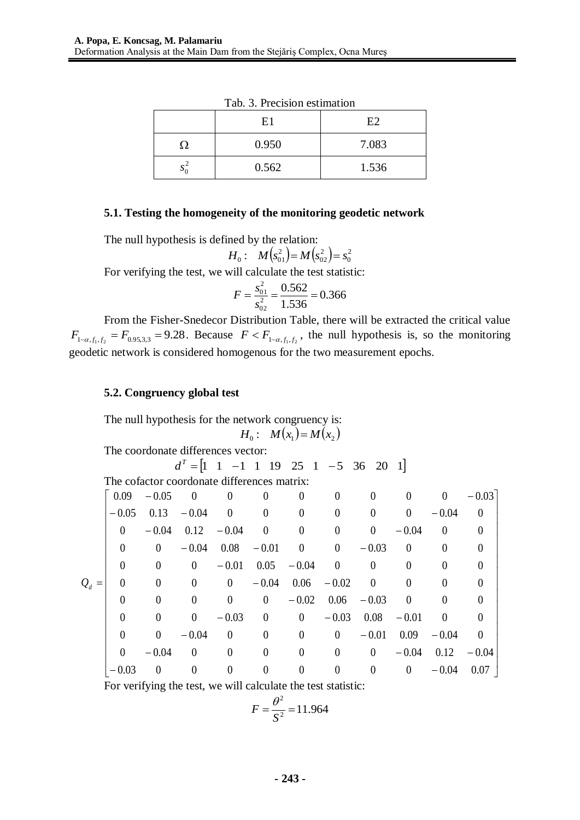|     | E <sub>1</sub> | E2    |
|-----|----------------|-------|
| ( ) | 0.950          | 7.083 |
| ມ   | 0.562          | 1.536 |

Tab. 3. Precision estimation

# **5.1. Testing the homogeneity of the monitoring geodetic network**

The null hypothesis is defined by the relation:

$$
H_0: M(s_{01}^2) = M(s_{02}^2) = s_0^2
$$

For verifying the test, we will calculate the test statistic:

$$
F = \frac{s_{01}^2}{s_{02}^2} = \frac{0.562}{1.536} = 0.366
$$

From the Fisher-Snedecor Distribution Table, there will be extracted the critical value  $F_{1-\alpha,f_1,f_2} = F_{0.95,3,3} = 9.28$ . Because  $F < F_{1-\alpha,f_1,f_2}$ , the null hypothesis is, so the monitoring geodetic network is considered homogenous for the two measurement epochs.

## **5.2. Congruency global test**

The null hypothesis for the network congruency is:  $H_0: M(x_1) = M(x_2)$ 

The coordonate differences vector:

$$
d^{T} = \begin{bmatrix} 1 & 1 & -1 & 1 & 19 & 25 & 1 & -5 & 36 & 20 & 1 \end{bmatrix}
$$

The cofactor coordonate differences matrix:

|         | 0.09             | $-0.05$        | $\overline{\phantom{0}}$ | $\boldsymbol{0}$ | $\overline{0}$   | $\theta$             | $\mathbf{0}$   | $\overline{0}$ | $\overline{0}$           | $\overline{0}$ | $-0.03$        |
|---------|------------------|----------------|--------------------------|------------------|------------------|----------------------|----------------|----------------|--------------------------|----------------|----------------|
|         | $-0.05$          |                | $0.13 - 0.04$            | $\overline{0}$   | $\overline{0}$   | $\overline{0}$       | $\overline{0}$ | $\overline{0}$ | $\overline{0}$           | $-0.04$        | $\theta$       |
|         | $\overline{0}$   | $-0.04$        | $0.12 - 0.04$            |                  | $\overline{0}$   | $\overline{0}$       | $\overline{0}$ | $\overline{0}$ | $-0.04$                  | $\overline{0}$ | $\overline{0}$ |
|         | $\overline{0}$   | $\overline{0}$ | $-0.04$                  | $0.08\,$         | $-0.01$          | $\overline{0}$       | $\overline{0}$ | $-0.03$        | $\overline{0}$           | $\theta$       | $\theta$       |
|         | $\boldsymbol{0}$ | $\overline{0}$ | $\overline{0}$           |                  |                  | $-0.01$ 0.05 $-0.04$ | $\overline{0}$ | $\overline{0}$ | $\theta$                 | $\overline{0}$ | $\overline{0}$ |
| $Q_d =$ | $\Omega$         | $\overline{0}$ | $\overline{0}$           | $\overline{0}$   | $-0.04$          |                      | $0.06 - 0.02$  | $\overline{0}$ | $\overline{0}$           | $\overline{0}$ | $\Omega$       |
|         | $\theta$         | $\overline{0}$ | $\overline{0}$           | $\overline{0}$   | $\overline{0}$   | $-0.02$              |                | $0.06 - 0.03$  | $\overline{\phantom{0}}$ | $\overline{0}$ | $\theta$       |
|         | $\theta$         | $\overline{0}$ | $\overline{0}$           | $-0.03$          | $\overline{0}$   | $\overline{0}$       | $-0.03$        | $0.08\,$       | $-0.01$                  | $\overline{0}$ | $\theta$       |
|         | $\theta$         | $\overline{0}$ | $-0.04$                  | $\overline{0}$   | $\overline{0}$   | $\overline{0}$       | $\overline{0}$ | $-0.01$        | 0.09                     | $-0.04$        | $\overline{0}$ |
|         | $\overline{0}$   | $-0.04$        | $\overline{\phantom{0}}$ | $\boldsymbol{0}$ | $\boldsymbol{0}$ | $\boldsymbol{0}$     | $\overline{0}$ | $\overline{0}$ | $-0.04$                  | 0.12           | $-0.04$        |
|         | $-0.03$          | $\overline{0}$ | $\theta$                 | $\boldsymbol{0}$ | $\overline{0}$   | $\theta$             | $\overline{0}$ | $\overline{0}$ | $\overline{0}$           | $-0.04$        | 0.07           |

For verifying the test, we will calculate the test statistic:

$$
F = \frac{\theta^2}{S^2} = 11.964
$$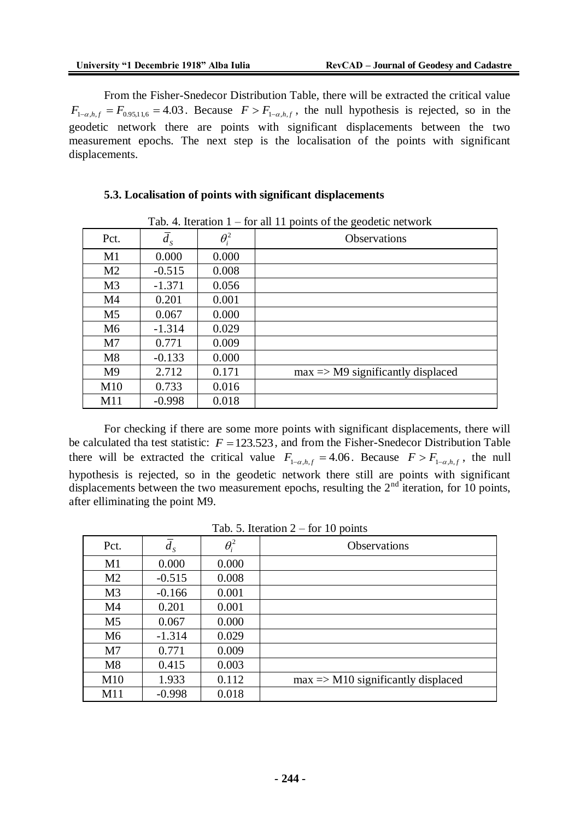From the Fisher-Snedecor Distribution Table, there will be extracted the critical value  $F_{1-\alpha,h,f} = F_{0.95,11,6} = 4.03$ . Because  $F > F_{1-\alpha,h,f}$ , the null hypothesis is rejected, so in the geodetic network there are points with significant displacements between the two measurement epochs. The next step is the localisation of the points with significant displacements.

#### **5.3. Localisation of points with significant displacements**

|                | 1 av. 1. Ruhampil 1 |              | for an 11 points of the geodetic network.    |
|----------------|---------------------|--------------|----------------------------------------------|
| Pct.           | $d_{\rm s}$         | $\theta_i^2$ | <b>Observations</b>                          |
| M1             | 0.000               | 0.000        |                                              |
| M <sub>2</sub> | $-0.515$            | 0.008        |                                              |
| M <sub>3</sub> | $-1.371$            | 0.056        |                                              |
| M4             | 0.201               | 0.001        |                                              |
| M5             | 0.067               | 0.000        |                                              |
| M <sub>6</sub> | $-1.314$            | 0.029        |                                              |
| M7             | 0.771               | 0.009        |                                              |
| M8             | $-0.133$            | 0.000        |                                              |
| M <sup>9</sup> | 2.712               | 0.171        | $max \Rightarrow M9$ significantly displaced |
| M10            | 0.733               | 0.016        |                                              |
| M11            | $-0.998$            | 0.018        |                                              |

Tab. 4. Iteration  $1 -$  for all 11 points of the geodetic network

For checking if there are some more points with significant displacements, there will be calculated tha test statistic:  $F = 123.523$ , and from the Fisher-Snedecor Distribution Table there will be extracted the critical value  $F_{1-\alpha,h,f} = 4.06$ . Because  $F > F_{1-\alpha,h,f}$ , the null hypothesis is rejected, so in the geodetic network there still are points with significant displacements between the two measurement epochs, resulting the  $2<sup>nd</sup>$  iteration, for 10 points, after elliminating the point M9.

| Pct.           | $d_{S}$  | $\theta_i^2$ | <b>Observations</b>                           |
|----------------|----------|--------------|-----------------------------------------------|
| M1             | 0.000    | 0.000        |                                               |
| M <sub>2</sub> | $-0.515$ | 0.008        |                                               |
| M <sub>3</sub> | $-0.166$ | 0.001        |                                               |
| M4             | 0.201    | 0.001        |                                               |
| M <sub>5</sub> | 0.067    | 0.000        |                                               |
| M <sub>6</sub> | $-1.314$ | 0.029        |                                               |
| M <sub>7</sub> | 0.771    | 0.009        |                                               |
| M8             | 0.415    | 0.003        |                                               |
| M10            | 1.933    | 0.112        | $max \Rightarrow M10$ significantly displaced |
| M11            | $-0.998$ | 0.018        |                                               |

Tab. 5. Iteration  $2 -$  for 10 points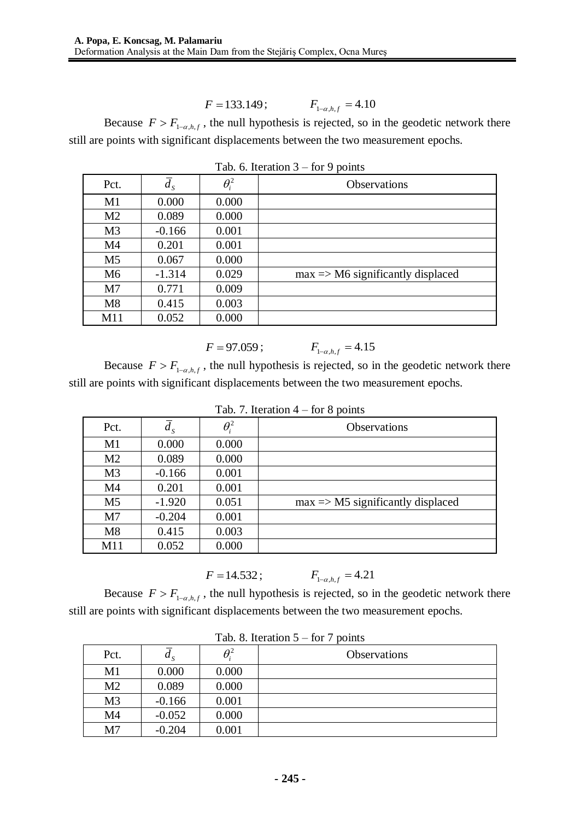$$
F = 133.149;
$$
  $F_{1-a,h,f} = 4.10$ 

Because  $F > F_{1-\alpha, h, f}$ , the null hypothesis is rejected, so in the geodetic network there still are points with significant displacements between the two measurement epochs.

| Pct.           | $d_{S}$  | $\theta_i^2$ | <b>Observations</b>                          |
|----------------|----------|--------------|----------------------------------------------|
| M1             | 0.000    | 0.000        |                                              |
| M <sub>2</sub> | 0.089    | 0.000        |                                              |
| M <sub>3</sub> | $-0.166$ | 0.001        |                                              |
| M <sub>4</sub> | 0.201    | 0.001        |                                              |
| M <sub>5</sub> | 0.067    | 0.000        |                                              |
| M <sub>6</sub> | $-1.314$ | 0.029        | $max \Rightarrow M6$ significantly displaced |
| M <sub>7</sub> | 0.771    | 0.009        |                                              |
| M8             | 0.415    | 0.003        |                                              |
| M11            | 0.052    | 0.000        |                                              |

Tab. 6. Iteration  $3 -$  for 9 points

$$
F = 97.059 ; \tF_{1-\alpha,h,f} = 4.15
$$

Because  $F > F_{1-\alpha, h, f}$ , the null hypothesis is rejected, so in the geodetic network there still are points with significant displacements between the two measurement epochs.

| Pct.           | $d_{S}$  | $\theta_i^2$ | <b>Observations</b>                          |
|----------------|----------|--------------|----------------------------------------------|
| M <sub>1</sub> | 0.000    | 0.000        |                                              |
| M <sub>2</sub> | 0.089    | 0.000        |                                              |
| M <sub>3</sub> | $-0.166$ | 0.001        |                                              |
| M4             | 0.201    | 0.001        |                                              |
| M <sub>5</sub> | $-1.920$ | 0.051        | $max \Rightarrow M5$ significantly displaced |
| M <sub>7</sub> | $-0.204$ | 0.001        |                                              |
| M8             | 0.415    | 0.003        |                                              |
| M11            | 0.052    | 0.000        |                                              |

|  | Tab. 7. Iteration $4$ – for 8 points |  |  |  |
|--|--------------------------------------|--|--|--|
|--|--------------------------------------|--|--|--|

$$
F = 14.532 ; \tF_{1-\alpha,h,f} = 4.21
$$

Because  $F > F_{1-\alpha, h, f}$ , the null hypothesis is rejected, so in the geodetic network there still are points with significant displacements between the two measurement epochs.

|                | rav. o. Refation $y = 101$ / points |              |                     |  |  |  |
|----------------|-------------------------------------|--------------|---------------------|--|--|--|
| Pct.           | $u_{\rm g}$                         | $\theta_i^2$ | <b>Observations</b> |  |  |  |
| M1             | 0.000                               | 0.000        |                     |  |  |  |
| M <sub>2</sub> | 0.089                               | 0.000        |                     |  |  |  |
| M <sub>3</sub> | $-0.166$                            | 0.001        |                     |  |  |  |
| M4             | $-0.052$                            | 0.000        |                     |  |  |  |
| M <sub>7</sub> | $-0.204$                            | 0.001        |                     |  |  |  |

|  |  | Tab. 8. Iteration $5 -$ for 7 points |  |  |  |  |
|--|--|--------------------------------------|--|--|--|--|
|--|--|--------------------------------------|--|--|--|--|